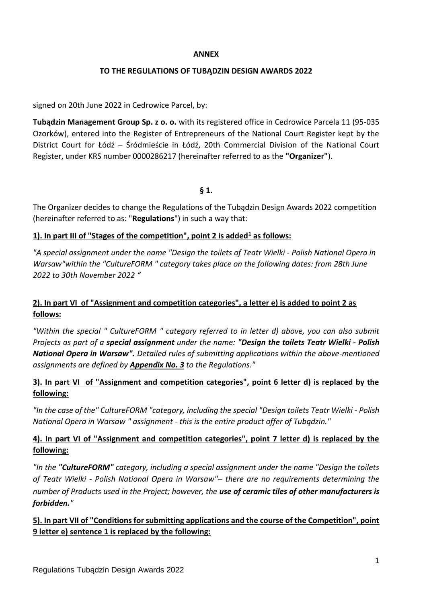#### **ANNEX**

## **TO THE REGULATIONS OF TUBĄDZIN DESIGN AWARDS 2022**

signed on 20th June 2022 in Cedrowice Parcel, by:

**Tubądzin Management Group Sp. z o. o.** with its registered office in Cedrowice Parcela 11 (95-035 Ozorków), entered into the Register of Entrepreneurs of the National Court Register kept by the District Court for Łódź – Śródmieście in Łódź, 20th Commercial Division of the National Court Register, under KRS number 0000286217 (hereinafter referred to as the **"Organizer"**).

### **§ 1.**

The Organizer decides to change the Regulations of the Tubądzin Design Awards 2022 competition (hereinafter referred to as: "**Regulations**") in such a way that:

# **1). In part III of "Stages of the competition", point 2 is added<sup>1</sup> as follows:**

*"A special assignment under the name "Design the toilets of Teatr Wielki - Polish National Opera in Warsaw"within the "CultureFORM " category takes place on the following dates: from 28th June 2022 to 30th November 2022 "*

# **2). In part VI of "Assignment and competition categories", a letter e) is added to point 2 as follows:**

*"Within the special " CultureFORM " category referred to in letter d) above, you can also submit Projects as part of a special assignment under the name: "Design the toilets Teatr Wielki - Polish National Opera in Warsaw". Detailed rules of submitting applications within the above-mentioned assignments are defined by Appendix No. 3 to the Regulations."*

# **3). In part VI of "Assignment and competition categories", point 6 letter d) is replaced by the following:**

*"In the case of the" CultureFORM "category, including the special "Design toilets Teatr Wielki - Polish National Opera in Warsaw " assignment - this is the entire product offer of Tubądzin."*

# **4). In part VI of "Assignment and competition categories", point 7 letter d) is replaced by the following:**

*"In the "CultureFORM" category, including a special assignment under the name "Design the toilets of Teatr Wielki - Polish National Opera in Warsaw"– there are no requirements determining the number of Products used in the Project; however, the use of ceramic tiles of other manufacturers is forbidden."*

# **5). In part VII of "Conditions for submitting applications and the course of the Competition", point 9 letter e) sentence 1 is replaced by the following:**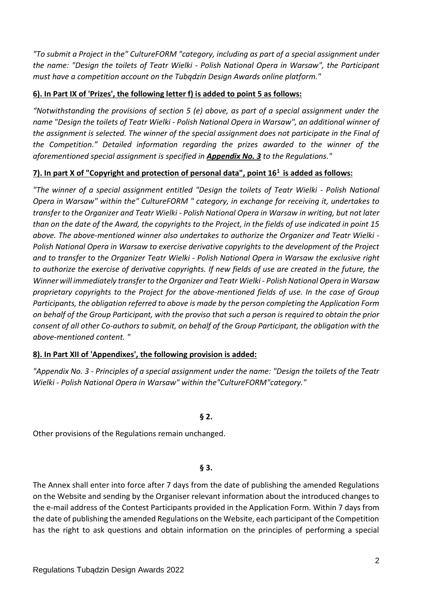*"To submit a Project in the" CultureFORM "category, including as part of a special assignment under the name: "Design the toilets of Teatr Wielki - Polish National Opera in Warsaw", the Participant must have a competition account on the Tubądzin Design Awards online platform."*

# **6). In Part IX of 'Prizes', the following letter f) is added to point 5 as follows:**

*"Notwithstanding the provisions of section 5 (e) above, as part of a special assignment under the name "Design the toilets of Teatr Wielki - Polish National Opera in Warsaw", an additional winner of the assignment is selected. The winner of the special assignment does not participate in the Final of the Competition." Detailed information regarding the prizes awarded to the winner of the aforementioned special assignment is specified in Appendix No. 3 to the Regulations."*

# **7). In part X of "Copyright and protection of personal data", point 16<sup>1</sup>is added as follows:**

*"The winner of a special assignment entitled "Design the toilets of Teatr Wielki - Polish National Opera in Warsaw" within the" CultureFORM " category, in exchange for receiving it, undertakes to transfer to the Organizer and Teatr Wielki - Polish National Opera in Warsaw in writing, but not later than on the date of the Award, the copyrights to the Project, in the fields of use indicated in point 15 above. The above-mentioned winner also undertakes to authorize the Organizer and Teatr Wielki - Polish National Opera in Warsaw to exercise derivative copyrights to the development of the Project and to transfer to the Organizer Teatr Wielki - Polish National Opera in Warsaw the exclusive right*  to authorize the exercise of derivative copyrights. If new fields of use are created in the future, the *Winner will immediately transfer to the Organizer and Teatr Wielki - Polish National Opera in Warsaw proprietary copyrights to the Project for the above-mentioned fields of use. In the case of Group Participants, the obligation referred to above is made by the person completing the Application Form on behalf of the Group Participant, with the proviso that such a person is required to obtain the prior consent of all other Co-authors to submit, on behalf of the Group Participant, the obligation with the above-mentioned content. "*

# **8). In Part XII of 'Appendixes', the following provision is added:**

*"Appendix No. 3 - Principles of a special assignment under the name: "Design the toilets of the Teatr Wielki - Polish National Opera in Warsaw" within the"CultureFORM"category."*

# **§ 2.**

Other provisions of the Regulations remain unchanged.

# **§ 3.**

The Annex shall enter into force after 7 days from the date of publishing the amended Regulations on the Website and sending by the Organiser relevant information about the introduced changes to the e-mail address of the Contest Participants provided in the Application Form. Within 7 days from the date of publishing the amended Regulations on the Website, each participant of the Competition has the right to ask questions and obtain information on the principles of performing a special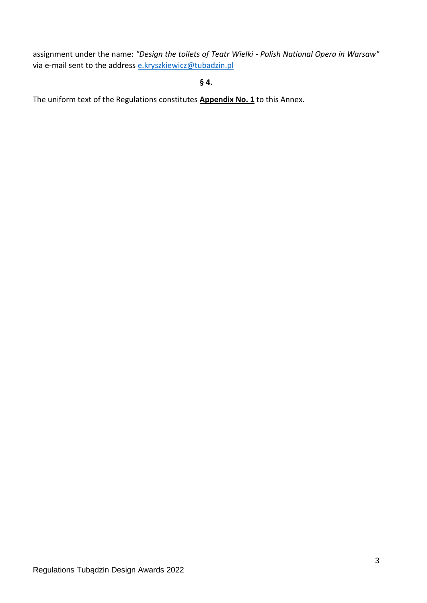assignment under the name: *"Design the toilets of Teatr Wielki - Polish National Opera in Warsaw"*  via e-mail sent to the address [e.kryszkiewicz@tubadzin.pl](mailto:e.kryszkiewicz@tubadzin.pl)

**§ 4.**

The uniform text of the Regulations constitutes **Appendix No. 1** to this Annex.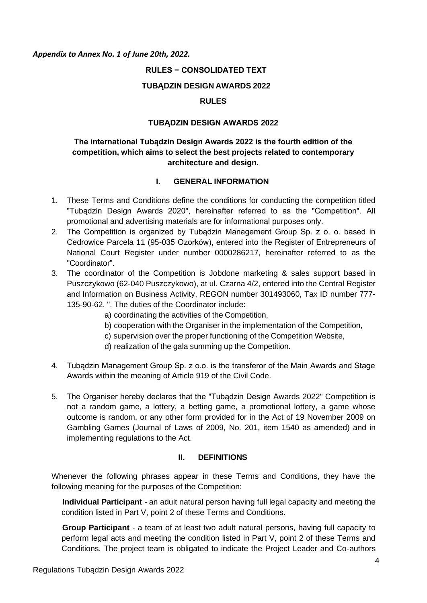#### *Appendix to Annex No. 1 of June 20th, 2022.*

## **RULES − CONSOLIDATED TEXT**

#### **TUBĄDZIN DESIGN AWARDS 2022**

### **RULES**

#### **TUBĄDZIN DESIGN AWARDS 2022**

# **The international Tubądzin Design Awards 2022 is the fourth edition of the competition, which aims to select the best projects related to contemporary architecture and design.**

#### **I. GENERAL INFORMATION**

- 1. These Terms and Conditions define the conditions for conducting the competition titled "Tubądzin Design Awards 2020", hereinafter referred to as the "Competition". All promotional and advertising materials are for informational purposes only.
- 2. The Competition is organized by Tubądzin Management Group Sp. z o. o. based in Cedrowice Parcela 11 (95-035 Ozorków), entered into the Register of Entrepreneurs of National Court Register under number 0000286217, hereinafter referred to as the "Coordinator".
- 3. The coordinator of the Competition is Jobdone marketing & sales support based in Puszczykowo (62-040 Puszczykowo), at ul. Czarna 4/2, entered into the Central Register and Information on Business Activity, REGON number 301493060, Tax ID number 777- 135-90-62, ". The duties of the Coordinator include:
	- a) coordinating the activities of the Competition,
	- b) cooperation with the Organiser in the implementation of the Competition,
	- c) supervision over the proper functioning of the Competition Website,
	- d) realization of the gala summing up the Competition.
- 4. Tubądzin Management Group Sp. z o.o. is the transferor of the Main Awards and Stage Awards within the meaning of Article 919 of the Civil Code.
- 5. The Organiser hereby declares that the "Tubądzin Design Awards 2022" Competition is not a random game, a lottery, a betting game, a promotional lottery, a game whose outcome is random, or any other form provided for in the Act of 19 November 2009 on Gambling Games (Journal of Laws of 2009, No. 201, item 1540 as amended) and in implementing regulations to the Act.

#### **II. DEFINITIONS**

Whenever the following phrases appear in these Terms and Conditions, they have the following meaning for the purposes of the Competition:

**Individual Participant** - an adult natural person having full legal capacity and meeting the condition listed in Part V, point 2 of these Terms and Conditions.

**Group Participant** - a team of at least two adult natural persons, having full capacity to perform legal acts and meeting the condition listed in Part V, point 2 of these Terms and Conditions. The project team is obligated to indicate the Project Leader and Co-authors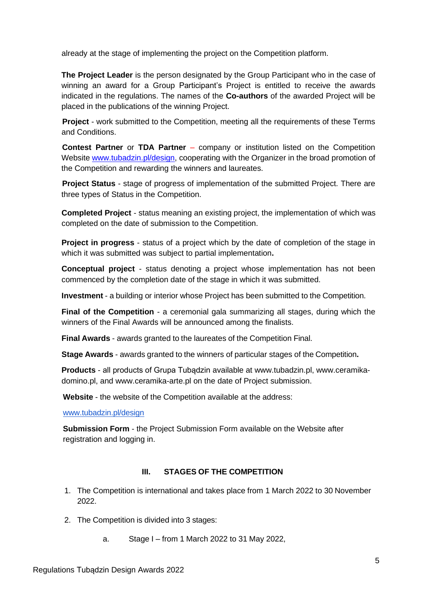already at the stage of implementing the project on the Competition platform.

**The Project Leader** is the person designated by the Group Participant who in the case of winning an award for a Group Participant's Project is entitled to receive the awards indicated in the regulations. The names of the **Co-authors** of the awarded Project will be placed in the publications of the winning Project.

**Project** - work submitted to the Competition, meeting all the requirements of these Terms and Conditions.

**Contest Partner** or **TDA Partner** – company or institution listed on the Competition Website [www.tubadzin.pl/design,](http://www.tubadzin.pl/design) cooperating with the Organizer in the broad promotion of the Competition and rewarding the winners and laureates.

**Project Status** - stage of progress of implementation of the submitted Project. There are three types of Status in the Competition.

**Completed Project** - status meaning an existing project, the implementation of which was completed on the date of submission to the Competition.

**Project in progress** - status of a project which by the date of completion of the stage in which it was submitted was subject to partial implementation**.**

**Conceptual project** - status denoting a project whose implementation has not been commenced by the completion date of the stage in which it was submitted.

**Investment** - a building or interior whose Project has been submitted to the Competition.

**Final of the Competition** - a ceremonial gala summarizing all stages, during which the winners of the Final Awards will be announced among the finalists.

**Final Awards** - awards granted to the laureates of the Competition Final.

**Stage Awards** - awards granted to the winners of particular stages of the Competition**.**

**Products** - all products of Grupa Tubądzin available at [www.tubadzin.pl](http://www.tubadzin.pl/)[,](http://www.ceramika-domino.pl/) [www.ceramika](http://www.ceramika-domino.pl/)[domino.pl,](http://www.ceramika-domino.pl/) and [www.ceramika-arte.pl](http://www.ceramika-arte.pl/) on the date of Project submission.

**Website** - the website of the Competition available at the address:

[www.tubadzin.pl/design](http://www.tubadzin.pl/design)

**Submission Form** - the Project Submission Form available on the Website after registration and logging in.

# **III. STAGES OF THE COMPETITION**

- 1. The Competition is international and takes place from 1 March 2022 to 30 November 2022.
- 2. The Competition is divided into 3 stages:
	- a. Stage I from 1 March 2022 to 31 May 2022,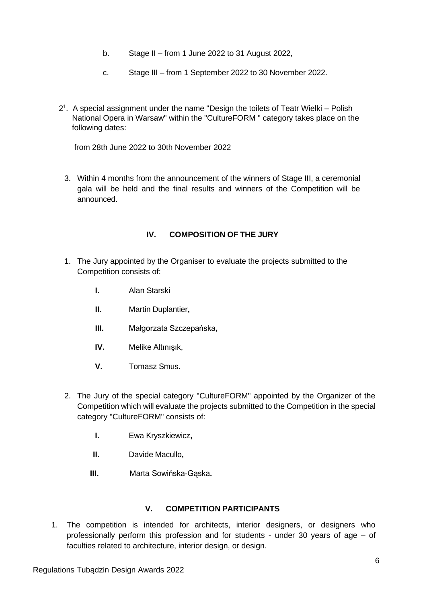- b. Stage II from 1 June 2022 to 31 August 2022,
- c. Stage III from 1 September 2022 to 30 November 2022.
- 2 1 . A special assignment under the name "Design the toilets of Teatr Wielki Polish National Opera in Warsaw" within the "CultureFORM " category takes place on the following dates:

from 28th June 2022 to 30th November 2022

3. Within 4 months from the announcement of the winners of Stage III, a ceremonial gala will be held and the final results and winners of the Competition will be announced.

# **IV. COMPOSITION OF THE JURY**

- 1. The Jury appointed by the Organiser to evaluate the projects submitted to the Competition consists of:
	- **I.** Alan Starski
	- **II.** Martin Duplantier**,**
	- **III.** Małgorzata Szczepańska**,**
	- **IV.** Melike Altınışık,
	- **V.** Tomasz Smus.
- 2. The Jury of the special category "CultureFORM" appointed by the Organizer of the Competition which will evaluate the projects submitted to the Competition in the special category "CultureFORM" consists of:
	- **I.** Ewa Kryszkiewicz**,**
	- **II.** Davide Macullo**,**
	- **III.** Marta Sowińska-Gąska**.**

#### **V. COMPETITION PARTICIPANTS**

1. The competition is intended for architects, interior designers, or designers who professionally perform this profession and for students - under 30 years of age – of faculties related to architecture, interior design, or design.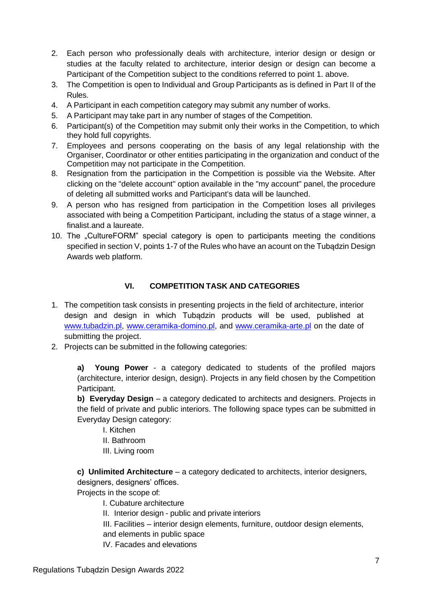- 2. Each person who professionally deals with architecture, interior design or design or studies at the faculty related to architecture, interior design or design can become a Participant of the Competition subject to the conditions referred to point 1. above.
- 3. The Competition is open to Individual and Group Participants as is defined in Part II of the Rules.
- 4. A Participant in each competition category may submit any number of works.
- 5. A Participant may take part in any number of stages of the Competition.
- 6. Participant(s) of the Competition may submit only their works in the Competition, to which they hold full copyrights.
- 7. Employees and persons cooperating on the basis of any legal relationship with the Organiser, Coordinator or other entities participating in the organization and conduct of the Competition may not participate in the Competition.
- 8. Resignation from the participation in the Competition is possible via the Website. After clicking on the "delete account" option available in the "my account" panel, the procedure of deleting all submitted works and Participant's data will be launched.
- 9. A person who has resigned from participation in the Competition loses all privileges associated with being a Competition Participant, including the status of a stage winner, a finalist.and a laureate.
- 10. The "CultureFORM" special category is open to participants meeting the conditions specified in section V, points 1-7 of the Rules who have an acount on the Tubądzin Design Awards web platform.

# **VI. COMPETITION TASK AND CATEGORIES**

- 1. The competition task consists in presenting projects in the field of architecture, interior design and design in which Tubądzin products will be used, published at [www.tubadzin.pl](http://www.tubadzin.pl/)[,](http://www.ceramika-domino.pl/) [www.ceramika-domino.pl,](http://www.ceramika-domino.pl/) and [www.ceramika-arte.pl](http://www.ceramika-arte.pl/) on the date of submitting the project.
- 2. Projects can be submitted in the following categories:

**a) Young Power** - a category dedicated to students of the profiled majors (architecture, interior design, design). Projects in any field chosen by the Competition Participant.

**b) Everyday Design** – a category dedicated to architects and designers. Projects in the field of private and public interiors. The following space types can be submitted in Everyday Design category:

I. Kitchen

- II. Bathroom
- III. Living room

**c) Unlimited Architecture** – a category dedicated to architects, interior designers, designers, designers' offices.

Projects in the scope of:

- I. Cubature architecture
- II. Interior design public and private interiors
- III. Facilities interior design elements, furniture, outdoor design elements, and elements in public space
- IV. Facades and elevations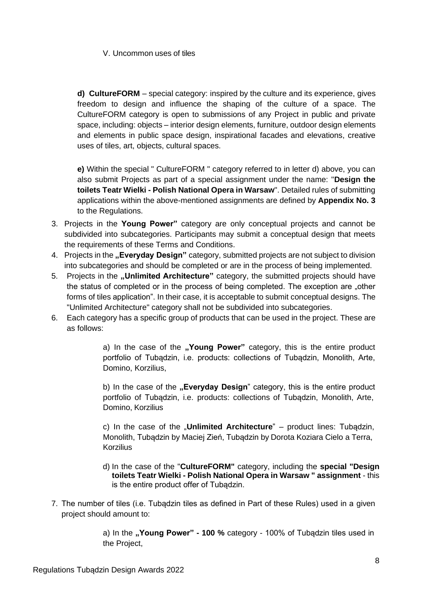### V. Uncommon uses of tiles

**d) CultureFORM** – special category: inspired by the culture and its experience, gives freedom to design and influence the shaping of the culture of a space. The CultureFORM category is open to submissions of any Project in public and private space, including: objects – interior design elements, furniture, outdoor design elements and elements in public space design, inspirational facades and elevations, creative uses of tiles, art, objects, cultural spaces.

**e)** Within the special " CultureFORM " category referred to in letter d) above, you can also submit Projects as part of a special assignment under the name: "**Design the toilets Teatr Wielki - Polish National Opera in Warsaw**". Detailed rules of submitting applications within the above-mentioned assignments are defined by **Appendix No. 3** to the Regulations.

- 3. Projects in the **Young Power"** category are only conceptual projects and cannot be subdivided into subcategories. Participants may submit a conceptual design that meets the requirements of these Terms and Conditions.
- 4. Projects in the **"Everyday Design**" category, submitted projects are not subject to division into subcategories and should be completed or are in the process of being implemented.
- 5. Projects in the **"Unlimited Architecture"** category, the submitted projects should have the status of completed or in the process of being completed. The exception are "other forms of tiles application". In their case, it is acceptable to submit conceptual designs. The "Unlimited Architecture" category shall not be subdivided into subcategories.
- 6. Each category has a specific group of products that can be used in the project. These are as follows:

a) In the case of the **"Young Power**" category, this is the entire product portfolio of Tubądzin, i.e. products: collections of Tubądzin, Monolith, Arte, Domino, Korzilius,

b) In the case of the **"Everyday Design**" category, this is the entire product portfolio of Tubądzin, i.e. products: collections of Tubądzin, Monolith, Arte, Domino, Korzilius

c) In the case of the "**Unlimited Architecture**" – product lines: Tubadzin, Monolith, Tubądzin by Maciej Zień, Tubądzin by Dorota Koziara Cielo a Terra, **Korzilius** 

- d) In the case of the "**CultureFORM"** category, including the **special "Design toilets Teatr Wielki - Polish National Opera in Warsaw " assignment** - this is the entire product offer of Tubądzin.
- 7. The number of tiles (i.e. Tubądzin tiles as defined in Part of these Rules) used in a given project should amount to:

a) In the **"Young Power" - 100 %** category - 100% of Tubądzin tiles used in the Project,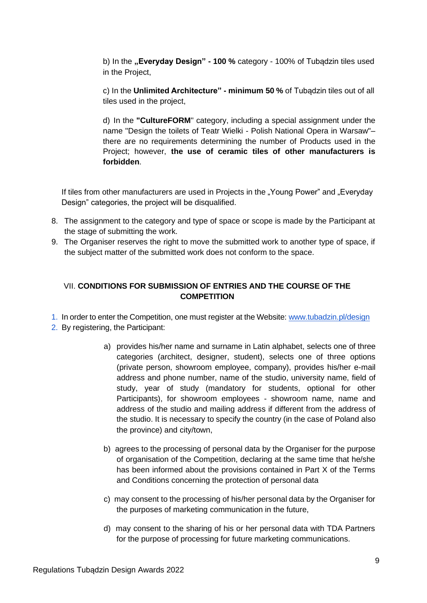b) In the **"Everyday Design" - 100 %** category - 100% of Tubądzin tiles used in the Project,

c) In the **Unlimited Architecture" - minimum 50 %** of Tubądzin tiles out of all tiles used in the project,

d) In the **"CultureFORM**" category, including a special assignment under the name "Design the toilets of Teatr Wielki - Polish National Opera in Warsaw"– there are no requirements determining the number of Products used in the Project; however, **the use of ceramic tiles of other manufacturers is forbidden**.

If tiles from other manufacturers are used in Projects in the "Young Power" and "Everyday Design" categories, the project will be disqualified.

- 8. The assignment to the category and type of space or scope is made by the Participant at the stage of submitting the work.
- 9. The Organiser reserves the right to move the submitted work to another type of space, if the subject matter of the submitted work does not conform to the space.

## VII. **CONDITIONS FOR SUBMISSION OF ENTRIES AND THE COURSE OF THE COMPETITION**

- 1. In order to enter the Competition, one must register at the Website: [www.tubadzin.pl/design](http://www.tubadzin.pl/design)
- 2. By registering, the Participant:
	- a) provides his/her name and surname in Latin alphabet, selects one of three categories (architect, designer, student), selects one of three options (private person, showroom employee, company), provides his/her e-mail address and phone number, name of the studio, university name, field of study, year of study (mandatory for students, optional for other Participants), for showroom employees - showroom name, name and address of the studio and mailing address if different from the address of the studio. It is necessary to specify the country (in the case of Poland also the province) and city/town,
	- b) agrees to the processing of personal data by the Organiser for the purpose of organisation of the Competition, declaring at the same time that he/she has been informed about the provisions contained in Part X of the Terms and Conditions concerning the protection of personal data
	- c) may consent to the processing of his/her personal data by the Organiser for the purposes of marketing communication in the future,
	- d) may consent to the sharing of his or her personal data with TDA Partners for the purpose of processing for future marketing communications.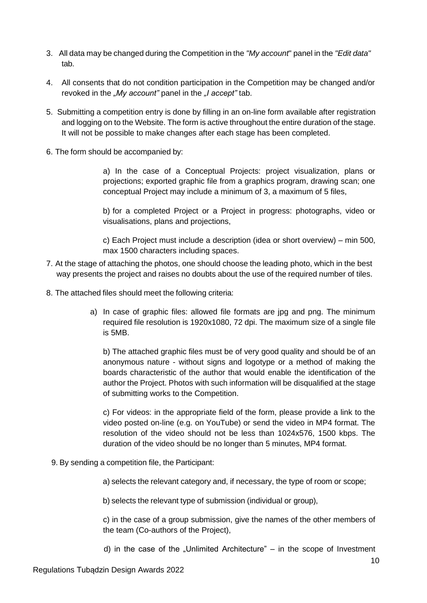- 3. All data may be changed during the Competition in the *"My account*" panel in the *"Edit data"* tab.
- 4. All consents that do not condition participation in the Competition may be changed and/or revoked in the *"My account"* panel in the *"I accept"* tab.
- 5. Submitting a competition entry is done by filling in an on-line form available after registration and logging on to the Website. The form is active throughout the entire duration of the stage. It will not be possible to make changes after each stage has been completed.
- 6. The form should be accompanied by:

a) In the case of a Conceptual Projects: project visualization, plans or projections; exported graphic file from a graphics program, drawing scan; one conceptual Project may include a minimum of 3, a maximum of 5 files,

b) for a completed Project or a Project in progress: photographs, video or visualisations, plans and projections,

c) Each Project must include a description (idea or short overview) – min 500, max 1500 characters including spaces.

- 7. At the stage of attaching the photos, one should choose the leading photo, which in the best way presents the project and raises no doubts about the use of the required number of tiles.
- 8. The attached files should meet the following criteria:
	- a) In case of graphic files: allowed file formats are jpg and png. The minimum required file resolution is 1920x1080, 72 dpi. The maximum size of a single file is 5MB.

b) The attached graphic files must be of very good quality and should be of an anonymous nature - without signs and logotype or a method of making the boards characteristic of the author that would enable the identification of the author the Project. Photos with such information will be disqualified at the stage of submitting works to the Competition.

c) For videos: in the appropriate field of the form, please provide a link to the video posted on-line (e.g. on YouTube) or send the video in MP4 format. The resolution of the video should not be less than 1024x576, 1500 kbps. The duration of the video should be no longer than 5 minutes, MP4 format.

9. By sending a competition file, the Participant:

a) selects the relevant category and, if necessary, the type of room or scope;

b) selects the relevant type of submission (individual or group),

c) in the case of a group submission, give the names of the other members of the team (Co-authors of the Project),

d) in the case of the "Unlimited Architecture"  $-$  in the scope of Investment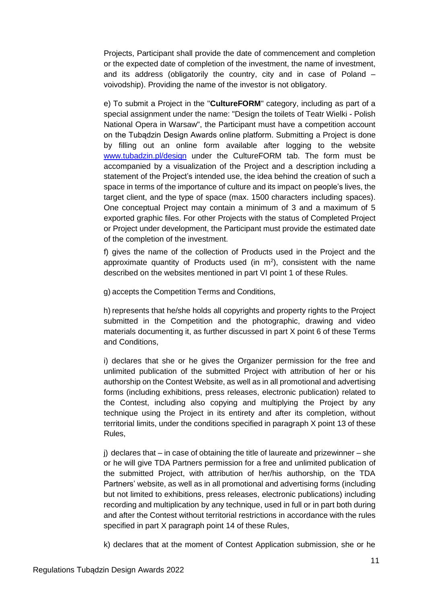Projects, Participant shall provide the date of commencement and completion or the expected date of completion of the investment, the name of investment, and its address (obligatorily the country, city and in case of Poland – voivodship). Providing the name of the investor is not obligatory.

e) To submit a Project in the "**CultureFORM**" category, including as part of a special assignment under the name: "Design the toilets of Teatr Wielki - Polish National Opera in Warsaw", the Participant must have a competition account on the Tubądzin Design Awards online platform. Submitting a Project is done by filling out an online form available after logging to the website [www.tubadzin.pl/design](http://www.tubadzin.pl/design) under the CultureFORM tab. The form must be accompanied by a visualization of the Project and a description including a statement of the Project's intended use, the idea behind the creation of such a space in terms of the importance of culture and its impact on people's lives, the target client, and the type of space (max. 1500 characters including spaces). One conceptual Project may contain a minimum of 3 and a maximum of 5 exported graphic files. For other Projects with the status of Completed Project or Project under development, the Participant must provide the estimated date of the completion of the investment.

f) gives the name of the collection of Products used in the Project and the approximate quantity of Products used (in  $m^2$ ), consistent with the name described on the websites mentioned in part VI point 1 of these Rules.

g) accepts the Competition Terms and Conditions,

h) represents that he/she holds all copyrights and property rights to the Project submitted in the Competition and the photographic, drawing and video materials documenting it, as further discussed in part X point 6 of these Terms and Conditions,

i) declares that she or he gives the Organizer permission for the free and unlimited publication of the submitted Project with attribution of her or his authorship on the Contest Website, as well as in all promotional and advertising forms (including exhibitions, press releases, electronic publication) related to the Contest, including also copying and multiplying the Project by any technique using the Project in its entirety and after its completion, without territorial limits, under the conditions specified in paragraph X point 13 of these Rules,

j) declares that – in case of obtaining the title of laureate and prizewinner – she or he will give TDA Partners permission for a free and unlimited publication of the submitted Project, with attribution of her/his authorship, on the TDA Partners' website, as well as in all promotional and advertising forms (including but not limited to exhibitions, press releases, electronic publications) including recording and multiplication by any technique, used in full or in part both during and after the Contest without territorial restrictions in accordance with the rules specified in part X paragraph point 14 of these Rules,

k) declares that at the moment of Contest Application submission, she or he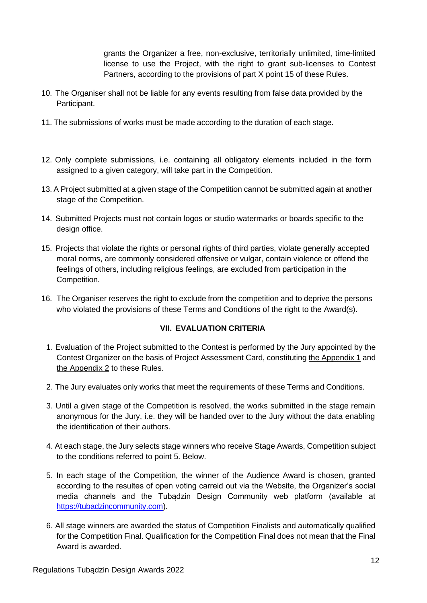grants the Organizer a free, non-exclusive, territorially unlimited, time-limited license to use the Project, with the right to grant sub-licenses to Contest Partners, according to the provisions of part X point 15 of these Rules.

- 10. The Organiser shall not be liable for any events resulting from false data provided by the Participant.
- 11. The submissions of works must be made according to the duration of each stage.
- 12. Only complete submissions, i.e. containing all obligatory elements included in the form assigned to a given category, will take part in the Competition.
- 13. A Project submitted at a given stage of the Competition cannot be submitted again at another stage of the Competition.
- 14. Submitted Projects must not contain logos or studio watermarks or boards specific to the design office.
- 15. Projects that violate the rights or personal rights of third parties, violate generally accepted moral norms, are commonly considered offensive or vulgar, contain violence or offend the feelings of others, including religious feelings, are excluded from participation in the Competition.
- 16. The Organiser reserves the right to exclude from the competition and to deprive the persons who violated the provisions of these Terms and Conditions of the right to the Award(s).

# **VII. EVALUATION CRITERIA**

- 1. Evaluation of the Project submitted to the Contest is performed by the Jury appointed by the Contest Organizer on the basis of Project Assessment Card, constituting the Appendix 1 and the Appendix 2 to these Rules.
- 2. The Jury evaluates only works that meet the requirements of these Terms and Conditions.
- 3. Until a given stage of the Competition is resolved, the works submitted in the stage remain anonymous for the Jury, i.e. they will be handed over to the Jury without the data enabling the identification of their authors.
- 4. At each stage, the Jury selects stage winners who receive Stage Awards, Competition subject to the conditions referred to point 5. Below.
- 5. In each stage of the Competition, the winner of the Audience Award is chosen, granted according to the resultes of open voting carreid out via the Website, the Organizer's social media channels and the Tubądzin Design Community web platform (available at [https://tubadzincommunity.com\)](https://tubadzincommunity.com/).
- 6. All stage winners are awarded the status of Competition Finalists and automatically qualified for the Competition Final. Qualification for the Competition Final does not mean that the Final Award is awarded.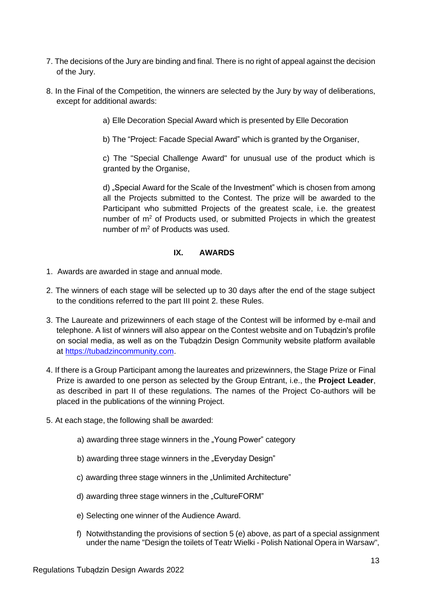- 7. The decisions of the Jury are binding and final. There is no right of appeal against the decision of the Jury.
- 8. In the Final of the Competition, the winners are selected by the Jury by way of deliberations, except for additional awards:
	- a) Elle Decoration Special Award which is presented by Elle Decoration
	- b) The "Project: Facade Special Award" which is granted by the Organiser,

c) The "Special Challenge Award" for unusual use of the product which is granted by the Organise,

d) "Special Award for the Scale of the Investment" which is chosen from among all the Projects submitted to the Contest. The prize will be awarded to the Participant who submitted Projects of the greatest scale, i.e. the greatest number of  $m<sup>2</sup>$  of Products used, or submitted Projects in which the greatest number of m<sup>2</sup> of Products was used.

#### **IX. AWARDS**

- 1. Awards are awarded in stage and annual mode.
- 2. The winners of each stage will be selected up to 30 days after the end of the stage subject to the conditions referred to the part III point 2. these Rules.
- 3. The Laureate and prizewinners of each stage of the Contest will be informed by e-mail and telephone. A list of winners will also appear on the Contest website and on Tubądzin's profile on social media, as well as on the Tubądzin Design Community website platform available at [https://tubadzincommunity.com.](https://tubadzincommunity.com/)
- 4. If there is a Group Participant among the laureates and prizewinners, the Stage Prize or Final Prize is awarded to one person as selected by the Group Entrant, i.e., the **Project Leader**, as described in part II of these regulations. The names of the Project Co-authors will be placed in the publications of the winning Project.
- 5. At each stage, the following shall be awarded:
	- a) awarding three stage winners in the "Young Power" category
	- b) awarding three stage winners in the "Everyday Design"
	- c) awarding three stage winners in the "Unlimited Architecture"
	- d) awarding three stage winners in the "CultureFORM"
	- e) Selecting one winner of the Audience Award.
	- f) Notwithstanding the provisions of section 5 (e) above, as part of a special assignment under the name "Design the toilets of Teatr Wielki - Polish National Opera in Warsaw",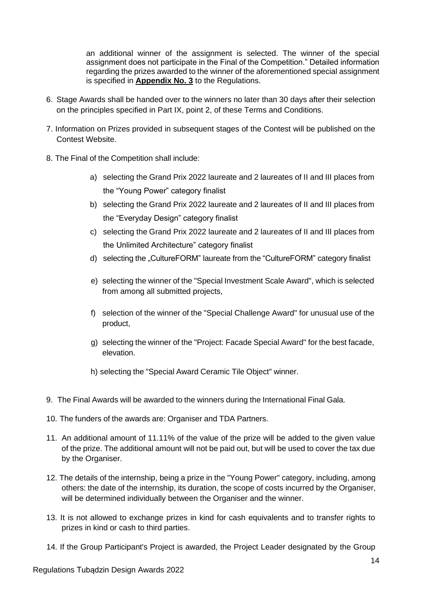an additional winner of the assignment is selected. The winner of the special assignment does not participate in the Final of the Competition." Detailed information regarding the prizes awarded to the winner of the aforementioned special assignment is specified in **Appendix No. 3** to the Regulations.

- 6. Stage Awards shall be handed over to the winners no later than 30 days after their selection on the principles specified in Part IX, point 2, of these Terms and Conditions.
- 7. Information on Prizes provided in subsequent stages of the Contest will be published on the Contest Website.
- 8. The Final of the Competition shall include:
	- a) selecting the Grand Prix 2022 laureate and 2 laureates of II and III places from the "Young Power" category finalist
	- b) selecting the Grand Prix 2022 laureate and 2 laureates of II and III places from the "Everyday Design" category finalist
	- c) selecting the Grand Prix 2022 laureate and 2 laureates of II and III places from the Unlimited Architecture" category finalist
	- d) selecting the "CultureFORM" laureate from the "CultureFORM" category finalist
	- e) selecting the winner of the "Special Investment Scale Award", which is selected from among all submitted projects,
	- f) selection of the winner of the "Special Challenge Award" for unusual use of the product,
	- g) selecting the winner of the "Project: Facade Special Award" for the best facade, elevation.
	- h) selecting the "Special Award Ceramic Tile Object" winner.
- 9. The Final Awards will be awarded to the winners during the International Final Gala.
- 10. The funders of the awards are: Organiser and TDA Partners.
- 11. An additional amount of 11.11% of the value of the prize will be added to the given value of the prize. The additional amount will not be paid out, but will be used to cover the tax due by the Organiser.
- 12. The details of the internship, being a prize in the "Young Power" category, including, among others: the date of the internship, its duration, the scope of costs incurred by the Organiser, will be determined individually between the Organiser and the winner.
- 13. It is not allowed to exchange prizes in kind for cash equivalents and to transfer rights to prizes in kind or cash to third parties.
- 14. If the Group Participant's Project is awarded, the Project Leader designated by the Group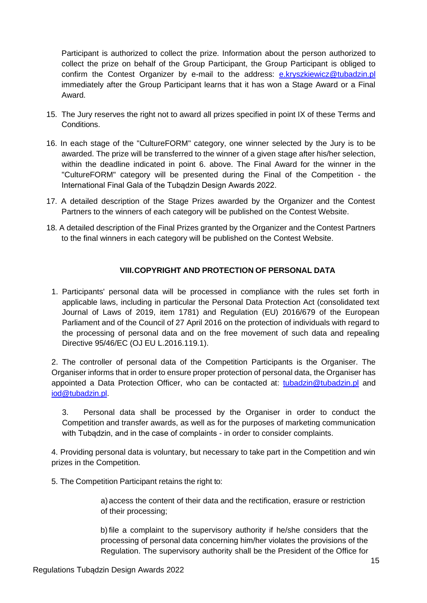Participant is authorized to collect the prize. Information about the person authorized to collect the prize on behalf of the Group Participant, the Group Participant is obliged to confirm the Contest Organizer by e-mail to the address: [e.kryszkiewicz@tubadzin.pl](mailto:e.kryszkiewicz@tubadzin.pl) immediately after the Group Participant learns that it has won a Stage Award or a Final Award.

- 15. The Jury reserves the right not to award all prizes specified in point IX of these Terms and Conditions.
- 16. In each stage of the "CultureFORM" category, one winner selected by the Jury is to be awarded. The prize will be transferred to the winner of a given stage after his/her selection, within the deadline indicated in point 6. above. The Final Award for the winner in the "CultureFORM" category will be presented during the Final of the Competition - the International Final Gala of the Tubądzin Design Awards 2022.
- 17. A detailed description of the Stage Prizes awarded by the Organizer and the Contest Partners to the winners of each category will be published on the Contest Website.
- 18. A detailed description of the Final Prizes granted by the Organizer and the Contest Partners to the final winners in each category will be published on the Contest Website.

# **VIII.COPYRIGHT AND PROTECTION OF PERSONAL DATA**

1. Participants' personal data will be processed in compliance with the rules set forth in applicable laws, including in particular the Personal Data Protection Act (consolidated text Journal of Laws of 2019, item 1781) and Regulation (EU) 2016/679 of the European Parliament and of the Council of 27 April 2016 on the protection of individuals with regard to the processing of personal data and on the free movement of such data and repealing Directive 95/46/EC (OJ EU L.2016.119.1).

2. The controller of personal data of the Competition Participants is the Organiser. The Organiser informs that in order to ensure proper protection of personal data, the Organiser has appointed a Data Protection Officer, who can be contacted at: [tubadzin@tubadzin.pl](mailto:tubadzin@tubadzin.pl) and [iod@tubadzin.pl.](mailto:iod@tubadzin.pl)

3. Personal data shall be processed by the Organiser in order to conduct the Competition and transfer awards, as well as for the purposes of marketing communication with Tubądzin, and in the case of complaints - in order to consider complaints.

4. Providing personal data is voluntary, but necessary to take part in the Competition and win prizes in the Competition.

5. The Competition Participant retains the right to:

a) access the content of their data and the rectification, erasure or restriction of their processing;

b) file a complaint to the supervisory authority if he/she considers that the processing of personal data concerning him/her violates the provisions of the Regulation. The supervisory authority shall be the President of the Office for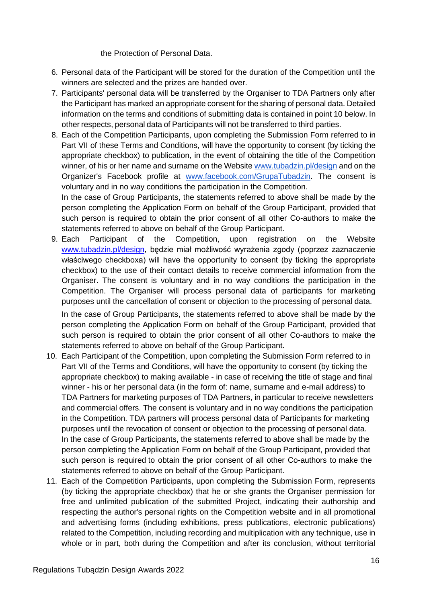the Protection of Personal Data.

- 6. Personal data of the Participant will be stored for the duration of the Competition until the winners are selected and the prizes are handed over.
- 7. Participants' personal data will be transferred by the Organiser to TDA Partners only after the Participant has marked an appropriate consent for the sharing of personal data. Detailed information on the terms and conditions of submitting data is contained in point 10 below. In other respects, personal data of Participants will not be transferred to third parties.
- 8. Each of the Competition Participants, upon completing the Submission Form referred to in Part VII of these Terms and Conditions, will have the opportunity to consent (by ticking the appropriate checkbox) to publication, in the event of obtaining the title of the Competition winner, of his or her name and surname on the Website [www.tubadzin.pl/design](http://www.tubadzin.pl/design) and on the Organizer's Facebook profile at [www.facebook.com/GrupaTubadzin.](http://www.facebook.com/GrupaTubadzin) The consent is voluntary and in no way conditions the participation in the Competition.

In the case of Group Participants, the statements referred to above shall be made by the person completing the Application Form on behalf of the Group Participant, provided that such person is required to obtain the prior consent of all other Co-authors to make the statements referred to above on behalf of the Group Participant.

9. Each Participant of the Competition, upon registration on the Website [www.tubadzin.pl/design,](http://www.tubadzin.pl/design) będzie miał możliwość wyrażenia zgody (poprzez zaznaczenie właściwego checkboxa) will have the opportunity to consent (by ticking the appropriate checkbox) to the use of their contact details to receive commercial information from the Organiser. The consent is voluntary and in no way conditions the participation in the Competition. The Organiser will process personal data of participants for marketing purposes until the cancellation of consent or objection to the processing of personal data.

In the case of Group Participants, the statements referred to above shall be made by the person completing the Application Form on behalf of the Group Participant, provided that such person is required to obtain the prior consent of all other Co-authors to make the statements referred to above on behalf of the Group Participant.

- 10. Each Participant of the Competition, upon completing the Submission Form referred to in Part VII of the Terms and Conditions, will have the opportunity to consent (by ticking the appropriate checkbox) to making available - in case of receiving the title of stage and final winner - his or her personal data (in the form of: name, surname and e-mail address) to TDA Partners for marketing purposes of TDA Partners, in particular to receive newsletters and commercial offers. The consent is voluntary and in no way conditions the participation in the Competition. TDA partners will process personal data of Participants for marketing purposes until the revocation of consent or objection to the processing of personal data. In the case of Group Participants, the statements referred to above shall be made by the person completing the Application Form on behalf of the Group Participant, provided that such person is required to obtain the prior consent of all other Co-authors to make the statements referred to above on behalf of the Group Participant.
- 11. Each of the Competition Participants, upon completing the Submission Form, represents (by ticking the appropriate checkbox) that he or she grants the Organiser permission for free and unlimited publication of the submitted Project, indicating their authorship and respecting the author's personal rights on the Competition website and in all promotional and advertising forms (including exhibitions, press publications, electronic publications) related to the Competition, including recording and multiplication with any technique, use in whole or in part, both during the Competition and after its conclusion, without territorial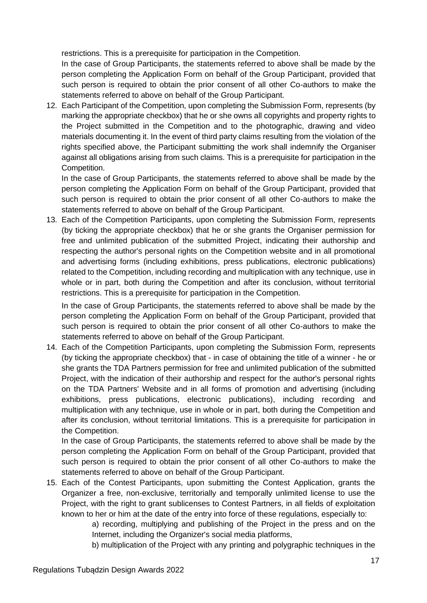restrictions. This is a prerequisite for participation in the Competition.

In the case of Group Participants, the statements referred to above shall be made by the person completing the Application Form on behalf of the Group Participant, provided that such person is required to obtain the prior consent of all other Co-authors to make the statements referred to above on behalf of the Group Participant.

12. Each Participant of the Competition, upon completing the Submission Form, represents (by marking the appropriate checkbox) that he or she owns all copyrights and property rights to the Project submitted in the Competition and to the photographic, drawing and video materials documenting it. In the event of third party claims resulting from the violation of the rights specified above, the Participant submitting the work shall indemnify the Organiser against all obligations arising from such claims. This is a prerequisite for participation in the Competition.

In the case of Group Participants, the statements referred to above shall be made by the person completing the Application Form on behalf of the Group Participant, provided that such person is required to obtain the prior consent of all other Co-authors to make the statements referred to above on behalf of the Group Participant.

13. Each of the Competition Participants, upon completing the Submission Form, represents (by ticking the appropriate checkbox) that he or she grants the Organiser permission for free and unlimited publication of the submitted Project, indicating their authorship and respecting the author's personal rights on the Competition website and in all promotional and advertising forms (including exhibitions, press publications, electronic publications) related to the Competition, including recording and multiplication with any technique, use in whole or in part, both during the Competition and after its conclusion, without territorial restrictions. This is a prerequisite for participation in the Competition.

In the case of Group Participants, the statements referred to above shall be made by the person completing the Application Form on behalf of the Group Participant, provided that such person is required to obtain the prior consent of all other Co-authors to make the statements referred to above on behalf of the Group Participant.

14. Each of the Competition Participants, upon completing the Submission Form, represents (by ticking the appropriate checkbox) that - in case of obtaining the title of a winner - he or she grants the TDA Partners permission for free and unlimited publication of the submitted Project, with the indication of their authorship and respect for the author's personal rights on the TDA Partners' Website and in all forms of promotion and advertising (including exhibitions, press publications, electronic publications), including recording and multiplication with any technique, use in whole or in part, both during the Competition and after its conclusion, without territorial limitations. This is a prerequisite for participation in the Competition.

In the case of Group Participants, the statements referred to above shall be made by the person completing the Application Form on behalf of the Group Participant, provided that such person is required to obtain the prior consent of all other Co-authors to make the statements referred to above on behalf of the Group Participant.

15. Each of the Contest Participants, upon submitting the Contest Application, grants the Organizer a free, non-exclusive, territorially and temporally unlimited license to use the Project, with the right to grant sublicenses to Contest Partners, in all fields of exploitation known to her or him at the date of the entry into force of these regulations, especially to:

a) recording, multiplying and publishing of the Project in the press and on the Internet, including the Organizer's social media platforms,

b) multiplication of the Project with any printing and polygraphic techniques in the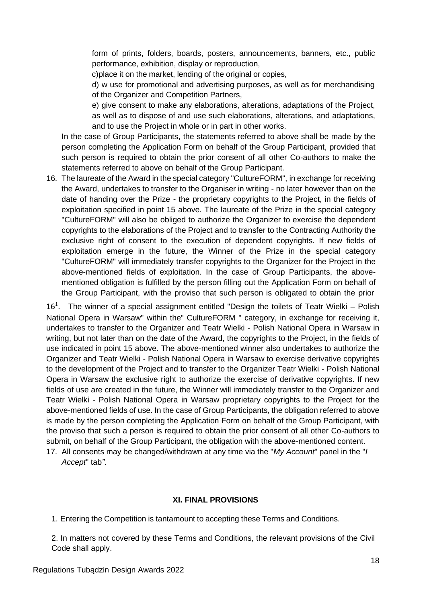form of prints, folders, boards, posters, announcements, banners, etc., public performance, exhibition, display or reproduction,

c)place it on the market, lending of the original or copies,

d) w use for promotional and advertising purposes, as well as for merchandising of the Organizer and Competition Partners,

e) give consent to make any elaborations, alterations, adaptations of the Project, as well as to dispose of and use such elaborations, alterations, and adaptations, and to use the Project in whole or in part in other works.

In the case of Group Participants, the statements referred to above shall be made by the person completing the Application Form on behalf of the Group Participant, provided that such person is required to obtain the prior consent of all other Co-authors to make the statements referred to above on behalf of the Group Participant.

16. The laureate of the Award in the special category "CultureFORM", in exchange for receiving the Award, undertakes to transfer to the Organiser in writing - no later however than on the date of handing over the Prize - the proprietary copyrights to the Project, in the fields of exploitation specified in point 15 above. The laureate of the Prize in the special category "CultureFORM" will also be obliged to authorize the Organizer to exercise the dependent copyrights to the elaborations of the Project and to transfer to the Contracting Authority the exclusive right of consent to the execution of dependent copyrights. If new fields of exploitation emerge in the future, the Winner of the Prize in the special category "CultureFORM" will immediately transfer copyrights to the Organizer for the Project in the above-mentioned fields of exploitation. In the case of Group Participants, the abovementioned obligation is fulfilled by the person filling out the Application Form on behalf of the Group Participant, with the proviso that such person is obligated to obtain the prior

16<sup>1</sup>. The winner of a special assignment entitled "Design the toilets of Teatr Wielki – Polish National Opera in Warsaw" within the" CultureFORM " category, in exchange for receiving it, undertakes to transfer to the Organizer and Teatr Wielki - Polish National Opera in Warsaw in writing, but not later than on the date of the Award, the copyrights to the Project, in the fields of use indicated in point 15 above. The above-mentioned winner also undertakes to authorize the Organizer and Teatr Wielki - Polish National Opera in Warsaw to exercise derivative copyrights to the development of the Project and to transfer to the Organizer Teatr Wielki - Polish National Opera in Warsaw the exclusive right to authorize the exercise of derivative copyrights. If new fields of use are created in the future, the Winner will immediately transfer to the Organizer and Teatr Wielki - Polish National Opera in Warsaw proprietary copyrights to the Project for the above-mentioned fields of use. In the case of Group Participants, the obligation referred to above is made by the person completing the Application Form on behalf of the Group Participant, with the proviso that such a person is required to obtain the prior consent of all other Co-authors to submit, on behalf of the Group Participant, the obligation with the above-mentioned content.

17. All consents may be changed/withdrawn at any time via the "*My Account*" panel in the "*I Accept*" tab*"*.

#### **XI. FINAL PROVISIONS**

1. Entering the Competition is tantamount to accepting these Terms and Conditions.

2. In matters not covered by these Terms and Conditions, the relevant provisions of the Civil Code shall apply.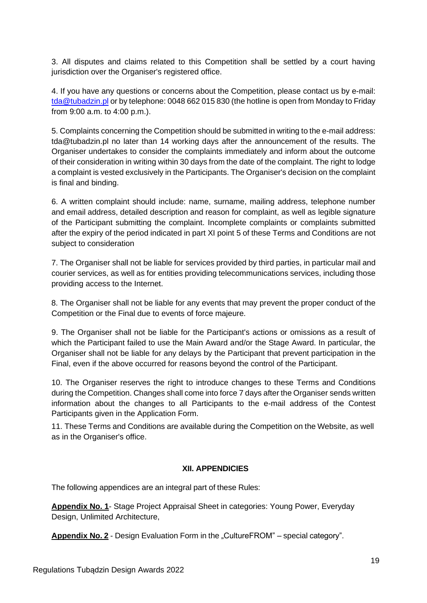3. All disputes and claims related to this Competition shall be settled by a court having jurisdiction over the Organiser's registered office.

4. If you have any questions or concerns about the Competition, please contact us by e-mail: [tda@tubadzin.pl](mailto:tda@tubadzin.pl) or by telephone: 0048 662 015 830 (the hotline is open from Monday to Friday from 9:00 a.m. to 4:00 p.m.).

5. Complaints concerning the Competition should be submitted in writing to the e-mail address: [tda@tubadzin.pl](mailto:tda@tubadzin.pl) no later than 14 working days after the announcement of the results. The Organiser undertakes to consider the complaints immediately and inform about the outcome of their consideration in writing within 30 days from the date of the complaint. The right to lodge a complaint is vested exclusively in the Participants. The Organiser's decision on the complaint is final and binding.

6. A written complaint should include: name, surname, mailing address, telephone number and email address, detailed description and reason for complaint, as well as legible signature of the Participant submitting the complaint. Incomplete complaints or complaints submitted after the expiry of the period indicated in part XI point 5 of these Terms and Conditions are not subject to consideration

7. The Organiser shall not be liable for services provided by third parties, in particular mail and courier services, as well as for entities providing telecommunications services, including those providing access to the Internet.

8. The Organiser shall not be liable for any events that may prevent the proper conduct of the Competition or the Final due to events of force majeure.

9. The Organiser shall not be liable for the Participant's actions or omissions as a result of which the Participant failed to use the Main Award and/or the Stage Award. In particular, the Organiser shall not be liable for any delays by the Participant that prevent participation in the Final, even if the above occurred for reasons beyond the control of the Participant.

10. The Organiser reserves the right to introduce changes to these Terms and Conditions during the Competition. Changes shall come into force 7 days after the Organiser sends written information about the changes to all Participants to the e-mail address of the Contest Participants given in the Application Form.

11. These Terms and Conditions are available during the Competition on the Website, as well as in the Organiser's office.

#### **XII. APPENDICIES**

The following appendices are an integral part of these Rules:

**Appendix No. 1**- Stage Project Appraisal Sheet in categories: Young Power, Everyday Design, Unlimited Architecture,

**Appendix No. 2** - Design Evaluation Form in the "CultureFROM" – special category".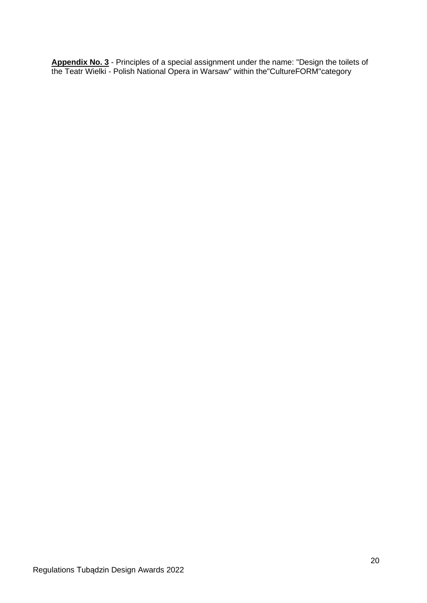**Appendix No. 3** - Principles of a special assignment under the name: "Design the toilets of the Teatr Wielki - Polish National Opera in Warsaw" within the"CultureFORM"category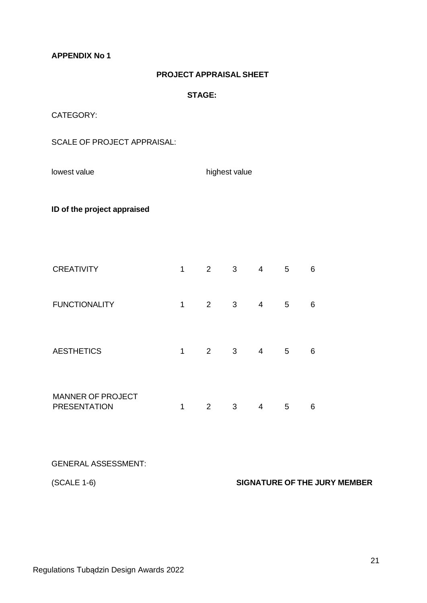**APPENDIX No 1**

### **PROJECT APPRAISAL SHEET**

**STAGE:**

CATEGORY:

SCALE OF PROJECT APPRAISAL:

lowest value highest value

**ID of the project appraised**

| <b>CREATIVITY</b>                               | 1 | $\overline{2}$        | 3 | 4 | 5 | 6 |
|-------------------------------------------------|---|-----------------------|---|---|---|---|
| <b>FUNCTIONALITY</b>                            | 1 | $\mathbf{2}^{\prime}$ | 3 | 4 | 5 | 6 |
| <b>AESTHETICS</b>                               | 1 | $\overline{2}$        | 3 | 4 | 5 | 6 |
| <b>MANNER OF PROJECT</b><br><b>PRESENTATION</b> | 1 | $\overline{2}$        | 3 | 4 | 5 | 6 |

GENERAL ASSESSMENT:

(SCALE 1-6) **SIGNATURE OF THE JURY MEMBER**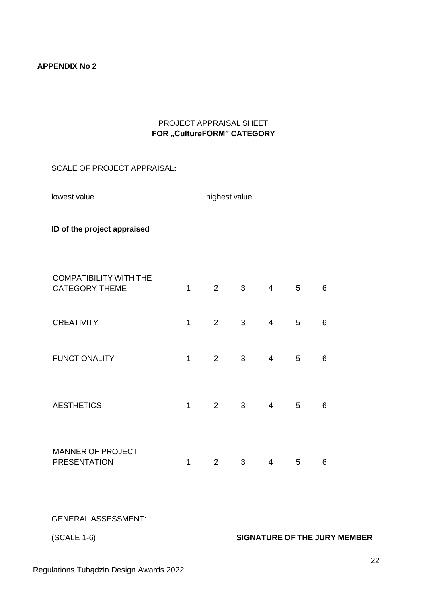## **APPENDIX No 2**

# PROJECT APPRAISAL SHEET **FOR ,,CultureFORM" CATEGORY**

# SCALE OF PROJECT APPRAISAL**:**

lowest value and the highest value

**ID of the project appraised**

| <b>COMPATIBILITY WITH THE</b><br><b>CATEGORY THEME</b> | 1 | $\overline{2}$ | 3 | $\overline{4}$ | 5 | 6 |
|--------------------------------------------------------|---|----------------|---|----------------|---|---|
| <b>CREATIVITY</b>                                      | 1 | 2              | 3 | $\overline{4}$ | 5 | 6 |
| <b>FUNCTIONALITY</b>                                   | 1 | 2              | 3 | $\overline{4}$ | 5 | 6 |
| <b>AESTHETICS</b>                                      | 1 | 2              | 3 | 4              | 5 | 6 |
| <b>MANNER OF PROJECT</b><br><b>PRESENTATION</b>        | 1 | 2              | 3 | 4              | 5 | 6 |

GENERAL ASSESSMENT:

# (SCALE 1-6) **SIGNATURE OF THE JURY MEMBER**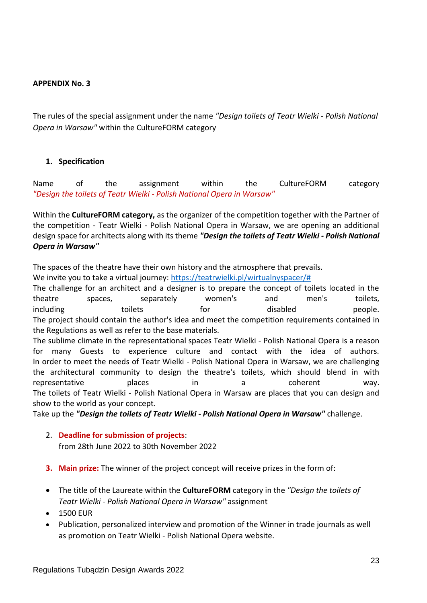## **APPENDIX No. 3**

The rules of the special assignment under the name *"Design toilets of Teatr Wielki - Polish National Opera in Warsaw"* within the CultureFORM category

### **1. Specification**

Name of the assignment within the CultureFORM category *"Design the toilets of Teatr Wielki - Polish National Opera in Warsaw"*

Within the **CultureFORM category,** as the organizer of the competition together with the Partner of the competition - Teatr Wielki - Polish National Opera in Warsaw, we are opening an additional design space for architects along with its theme *"Design the toilets of Teatr Wielki - Polish National Opera in Warsaw"*

The spaces of the theatre have their own history and the atmosphere that prevails.

We invite you to take a virtual journey: [https://teatrwielki.pl/wirtualnyspacer/#](https://teatrwielki.pl/wirtualnyspacer/)

The challenge for an architect and a designer is to prepare the concept of toilets located in the theatre spaces, separately women's and men's toilets, including toilets for the disabled people. The project should contain the author's idea and meet the competition requirements contained in the Regulations as well as refer to the base materials.

The sublime climate in the representational spaces Teatr Wielki - Polish National Opera is a reason for many Guests to experience culture and contact with the idea of authors. In order to meet the needs of Teatr Wielki - Polish National Opera in Warsaw, we are challenging the architectural community to design the theatre's toilets, which should blend in with representative **places** in a coherent way. The toilets of Teatr Wielki - Polish National Opera in Warsaw are places that you can design and show to the world as your concept.

Take up the *"Design the toilets of Teatr Wielki - Polish National Opera in Warsaw"* challenge.

2. **Deadline for submission of projects**:

from 28th June 2022 to 30th November 2022

**3. Main prize:** The winner of the project concept will receive prizes in the form of:

- The title of the Laureate within the **CultureFORM** category in the *"Design the toilets of Teatr Wielki - Polish National Opera in Warsaw"* assignment
- 1500 EUR
- Publication, personalized interview and promotion of the Winner in trade journals as well as promotion on Teatr Wielki - Polish National Opera website.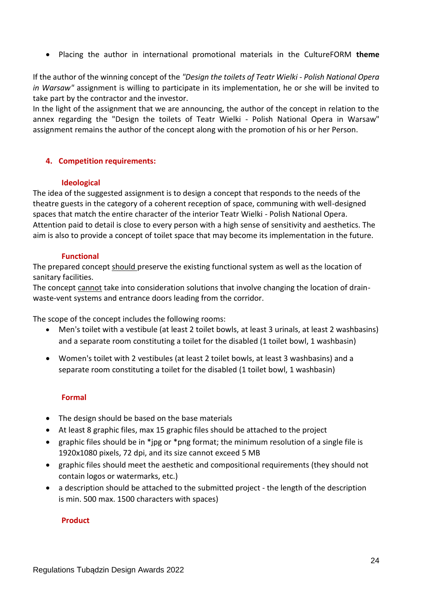• Placing the author in international promotional materials in the CultureFORM **theme**

If the author of the winning concept of the *"Design the toilets of Teatr Wielki - Polish National Opera in Warsaw"* assignment is willing to participate in its implementation, he or she will be invited to take part by the contractor and the investor.

In the light of the assignment that we are announcing, the author of the concept in relation to the annex regarding the "Design the toilets of Teatr Wielki - Polish National Opera in Warsaw" assignment remains the author of the concept along with the promotion of his or her Person.

### **4. Competition requirements:**

#### **Ideological**

The idea of the suggested assignment is to design a concept that responds to the needs of the theatre guests in the category of a coherent reception of space, communing with well-designed spaces that match the entire character of the interior Teatr Wielki - Polish National Opera. Attention paid to detail is close to every person with a high sense of sensitivity and aesthetics. The aim is also to provide a concept of toilet space that may become its implementation in the future.

### **Functional**

The prepared concept should preserve the existing functional system as well as the location of sanitary facilities.

The concept cannot take into consideration solutions that involve changing the location of drainwaste-vent systems and entrance doors leading from the corridor.

The scope of the concept includes the following rooms:

- Men's toilet with a vestibule (at least 2 toilet bowls, at least 3 urinals, at least 2 washbasins) and a separate room constituting a toilet for the disabled (1 toilet bowl, 1 washbasin)
- Women's toilet with 2 vestibules (at least 2 toilet bowls, at least 3 washbasins) and a separate room constituting a toilet for the disabled (1 toilet bowl, 1 washbasin)

# **Formal**

- The design should be based on the base materials
- At least 8 graphic files, max 15 graphic files should be attached to the project
- graphic files should be in \*jpg or \*png format; the minimum resolution of a single file is 1920x1080 pixels, 72 dpi, and its size cannot exceed 5 MB
- graphic files should meet the aesthetic and compositional requirements (they should not contain logos or watermarks, etc.)
- a description should be attached to the submitted project the length of the description is min. 500 max. 1500 characters with spaces)

# **Product**